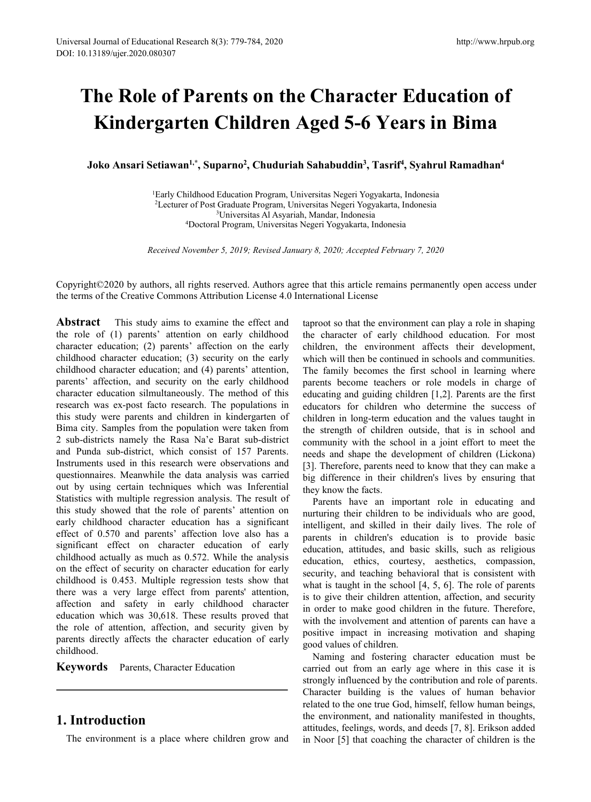# **The Role of Parents on the Character Education of Kindergarten Children Aged 5-6 Years in Bima Journal of Educational Research 8(3): 779-784, 2020<br>
13189/ujer.2020.080307<br>
<b>Che Role of Parents on the Correct Kindergarten Children Ag<br>
Joko Ansari Setiawan<sup>1,\*</sup>, Suparno<sup>2</sup>, Chuduriah Sa<br>
<sup>1</sup>Early Childhood Education** <sup>784, 2020</sup><br> **http://**<br> **dren Aged 5-6 Years in Bir**<br> **, Chuduriah Sahabuddin<sup>3</sup>, Tasrif<sup>4</sup>, Syahrul Rama<br>
pn Program, Universitas Negeri Yogyakarta, Indonesia<br>
e Program, Universitas Negeri Yogyakarta, Indonesia<br>
e Progra** http://www.hrpub.org<br> **cter Education of**<br> **5 Years in Bima**<br> **, Tasrif<sup>4</sup>, Syahrul Ramadhan<sup>4</sup><br>
ogyakarta, Indonesia<br>
gyakarta, Indonesia<br>
sia** http://www.hrpub.org<br> **Education of<br>
ars in Bima**<br> **, Syahrul Ramadhan<sup>4</sup><br>
Indonesia<br>
Indonesia 1 Ochildren Aged 5-6 Years in Bima**<br>
1 **garten Children Aged 5-6 Years in Bima**<br>
1 **etiawan<sup>1,\*</sup>, Suparno<sup>2</sup>, Chuduriah Sahabuddin<sup>3</sup>, Tasrif<sup>4</sup>, Syahrul Ramadhan<sup>4</sup><br>
<sup>1</sup>Early Childhood Education Program, Universitas Nege** 2**Cecturer of Parcents on the Character Education of**<br> **garten Children Aged 5-6 Years in Bima**<br> **Etiawan<sup>1,\*</sup>, Suparno<sup>2</sup>, Chuduriah Sahabuddin<sup>3</sup>, Tasrif<sup>4</sup>, Syahrul Ramadhan<sup>4</sup><br>
Early Childhood Education Program, Univer ents on the Character Educatio<br>Children Aged 5-6 Years in Bin<br>parno<sup>2</sup>, Chuduriah Sahabuddin<sup>3</sup>, Tasrif<sup>4</sup>, Syahrul Rama<br>Education Program, Universitas Negeri Yogyakarta, Indonesia<br>Graduate Program, Universitas Negeri Yog e of Parents on the Character Education of rgarten Children Aged 5-6 Years in Bima**<br>
Setiawan<sup>1,\*</sup>, Suparno<sup>2</sup>, Chuduriah Sahabuddin<sup>3</sup>, Tasrif<sup>4</sup>, Syahrul Ramadhan<sup>4</sup><br>
<sup>1</sup>Early Childhood Education Program, Universitas Ne

Joko Ansari Setiawan<sup>1,\*</sup>, Suparno<sup>2</sup>, Chuduriah Sahabuddin<sup>3</sup>, Tasrif<sup>4</sup>, Syahrul Ramadhan<sup>4</sup>

Copyright©2020 by authors, all rights reserved. Authors agree that this article remains permanently open access under the terms of the Creative Commons Attribution License 4.0 International License

**Abstract** This study aims to examine the effect and the role of (1) parents' attention on early childhood character education; (2) parents' affection on the early childhood character education; (3) security on the early childhood character education; and (4) parents' attention, parents' affection, and security on the early childhood character education silmultaneously. The method of this research was ex-post facto research. The populations in this study were parents and children in kindergarten of Bima city. Samples from the population were taken from 2 sub-districts namely the Rasa Na'e Barat sub-district and Punda sub-district, which consist of 157 Parents. Instruments used in this research were observations and questionnaires. Meanwhile the data analysis was carried out by using certain techniques which was Inferential Statistics with multiple regression analysis. The result of this study showed that the role of parents' attention on early childhood character education has a significant effect of 0.570 and parents' affection love also has a significant effect on character education of early childhood actually as much as 0.572. While the analysis on the effect of security on character education for early childhood is 0.453. Multiple regression tests show that there was a very large effect from parents' attention, affection and safety in early childhood character education which was 30,618. These results proved that the role of attention, affection, and security given by parents directly affects the character education of early childhood.

**Keywords** Parents, Character Education

## **1. Introduction**

The environment is a place where children grow and

taproot so that the environment can play a role in shaping the character of early childhood education. For most children, the environment affects their development, which will then be continued in schools and communities. The family becomes the first school in learning where parents become teachers or role models in charge of educating and guiding children [1,2]. Parents are the first educators for children who determine the success of children in long-term education and the values taught in the strength of children outside, that is in school and community with the school in a joint effort to meet the needs and shape the development of children (Lickona) [3]. Therefore, parents need to know that they can make a big difference in their children's lives by ensuring that they know the facts.

Parents have an important role in educating and nurturing their children to be individuals who are good, intelligent, and skilled in their daily lives. The role of parents in children's education is to provide basic education, attitudes, and basic skills, such as religious education, ethics, courtesy, aesthetics, compassion, security, and teaching behavioral that is consistent with what is taught in the school [4, 5, 6]. The role of parents is to give their children attention, affection, and security in order to make good children in the future. Therefore, with the involvement and attention of parents can have a positive impact in increasing motivation and shaping good values of children.

Naming and fostering character education must be carried out from an early age where in this case it is strongly influenced by the contribution and role of parents. Character building is the values of human behavior related to the one true God, himself, fellow human beings, the environment, and nationality manifested in thoughts, attitudes, feelings, words, and deeds [7, 8]. Erikson added in Noor [5] that coaching the character of children is the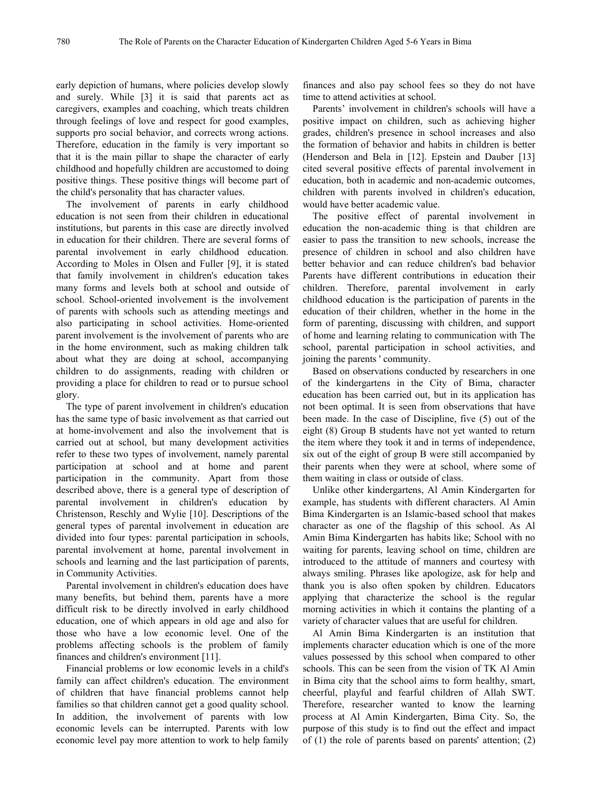early depiction of humans, where policies develop slowly and surely. While [3] it is said that parents act as caregivers, examples and coaching, which treats children through feelings of love and respect for good examples, supports pro social behavior, and corrects wrong actions. Therefore, education in the family is very important so that it is the main pillar to shape the character of early childhood and hopefully children are accustomed to doing positive things. These positive things will become part of the child's personality that has character values.

The involvement of parents in early childhood education is not seen from their children in educational institutions, but parents in this case are directly involved in education for their children. There are several forms of parental involvement in early childhood education. According to Moles in Olsen and Fuller [9], it is stated that family involvement in children's education takes many forms and levels both at school and outside of school. School-oriented involvement is the involvement of parents with schools such as attending meetings and also participating in school activities. Home-oriented parent involvement is the involvement of parents who are in the home environment, such as making children talk about what they are doing at school, accompanying children to do assignments, reading with children or providing a place for children to read or to pursue school glory.

The type of parent involvement in children's education has the same type of basic involvement as that carried out at home-involvement and also the involvement that is carried out at school, but many development activities refer to these two types of involvement, namely parental participation at school and at home and parent participation in the community. Apart from those described above, there is a general type of description of parental involvement in children's education by Christenson, Reschly and Wylie [10]. Descriptions of the general types of parental involvement in education are divided into four types: parental participation in schools, parental involvement at home, parental involvement in schools and learning and the last participation of parents, in Community Activities.

Parental involvement in children's education does have many benefits, but behind them, parents have a more difficult risk to be directly involved in early childhood education, one of which appears in old age and also for those who have a low economic level. One of the problems affecting schools is the problem of family finances and children's environment [11].

Financial problems or low economic levels in a child's family can affect children's education. The environment of children that have financial problems cannot help families so that children cannot get a good quality school. In addition, the involvement of parents with low economic levels can be interrupted. Parents with low economic level pay more attention to work to help family

finances and also pay school fees so they do not have time to attend activities at school.

Parents' involvement in children's schools will have a positive impact on children, such as achieving higher grades, children's presence in school increases and also the formation of behavior and habits in children is better (Henderson and Bela in [12]. Epstein and Dauber [13] cited several positive effects of parental involvement in education, both in academic and non-academic outcomes, children with parents involved in children's education, would have better academic value.

The positive effect of parental involvement in education the non-academic thing is that children are easier to pass the transition to new schools, increase the presence of children in school and also children have better behavior and can reduce children's bad behavior Parents have different contributions in education their children. Therefore, parental involvement in early childhood education is the participation of parents in the education of their children, whether in the home in the form of parenting, discussing with children, and support of home and learning relating to communication with The school, parental participation in school activities, and joining the parents ' community.

Based on observations conducted by researchers in one of the kindergartens in the City of Bima, character education has been carried out, but in its application has not been optimal. It is seen from observations that have been made. In the case of Discipline, five (5) out of the eight (8) Group B students have not yetwanted to return the item where they took it and in terms of independence, six out of the eight of group B were still accompanied by their parents when they were at school, where some of them waiting in class or outside of class.

Unlike other kindergartens, Al Amin Kindergarten for example, has students with different characters. Al Amin Bima Kindergarten is an Islamic-based school that makes character as one of the flagship of this school. As Al Amin Bima Kindergarten has habits like; School with no waiting for parents, leaving school on time, children are introduced to the attitude of manners and courtesy with always smiling. Phrases like apologize, ask for help and thank you is also often spoken by children. Educators applying that characterize the school is the regular morning activities in which it contains the planting of a variety of character values that are useful for children.

Al Amin Bima Kindergarten is an institution that implements character education which is one of the more values possessed by this school when compared to other schools. This can be seen from the vision of TK Al Amin in Bima city that the school aims to form healthy, smart, cheerful, playful and fearful children of Allah SWT. Therefore, researcher wanted to know the learning process at Al Amin Kindergarten, Bima City. So, the purpose of this study is to find out the effect and impact of (1) the role of parents based on parents' attention; (2)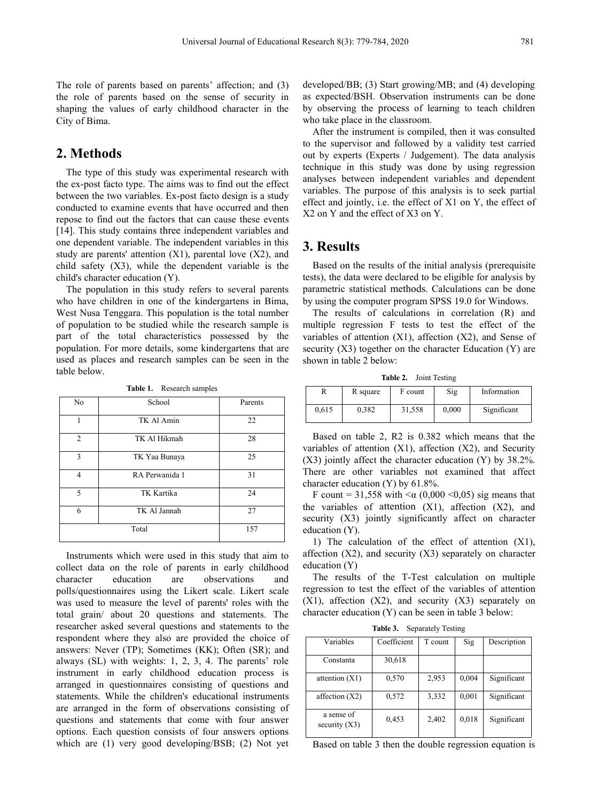The role of parents based on parents' affection; and (3) the role of parents based on the sense of security in shaping the values of early childhood character in the City of Bima.

# **2. Methods**

The type of this study was experimental research with the ex-post facto type. The aims was to find out the effect between the two variables. Ex-post facto design is a study conducted to examine events that have occurred and then repose to find out the factors that can cause these events [14]. This study contains three independent variables and one dependent variable. The independent variables in this study are parents' attention  $(X1)$ , parental love  $(X2)$ , and child safety (X3), while the dependent variable is the child's character education (Y).

The population in this study refers to several parents who have children in one of the kindergartens in Bima, West Nusa Tenggara. This population is the total number of population to be studied while the research sample is part of the total characteristics possessed by the population. For more details, some kindergartens that are used as places and research samples can be seen in the table below.

| No            | School         | Parents | 0.615                                                                                                     | 0.382                                  | 31,558 |  |  |  |
|---------------|----------------|---------|-----------------------------------------------------------------------------------------------------------|----------------------------------------|--------|--|--|--|
|               | TK Al Amin     | 22      |                                                                                                           |                                        |        |  |  |  |
|               |                |         |                                                                                                           |                                        |        |  |  |  |
| $\mathcal{D}$ | TK Al Hikmah   | 28      | Based on table 2, R2 is 0.38<br>variables of attention $(X1)$ , affe<br>(X3) jointly affect the character |                                        |        |  |  |  |
| $\mathcal{E}$ | TK Yaa Bunaya  | 25      |                                                                                                           |                                        |        |  |  |  |
|               | RA Perwanida 1 | 31      |                                                                                                           | There are other variables no           |        |  |  |  |
|               |                |         |                                                                                                           | character education (Y) by $61.8\%$    |        |  |  |  |
| $\varsigma$   | TK Kartika     | 24      |                                                                                                           | F count = 31,558 with $<\alpha$ (0,0   |        |  |  |  |
| 6             | TK Al Jannah   | 27      |                                                                                                           | the variables of attention (X)         |        |  |  |  |
|               |                |         |                                                                                                           | security (X3) jointly significan       |        |  |  |  |
| Total         |                | 157     | education $(Y)$ .                                                                                         |                                        |        |  |  |  |
|               |                |         |                                                                                                           | $1 \times 1$ $1 \times 1$ $1 \times 1$ |        |  |  |  |

**Table 1.** Research samples

Instruments which were used in this study that aim to collect data on the role of parents in early childhood character education are observations and polls/questionnaires using the Likert scale. Likert scale was used to measure the level of parents' roles with the total grain/ about 20 questions and statements. The researcher asked several questions and statements to the respondent where they also are provided the choice of answers: Never (TP); Sometimes (KK); Often (SR); and always (SL) with weights: 1, 2, 3, 4. The parents' role instrument in early childhood education process is arranged in questionnaires consisting of questions and statements. While the children's educational instruments are arranged in the form of observations consisting of questions and statements that come with four answer options. Each question consists of four answers options which are (1) very good developing/BSB; (2) Not yet

developed/BB; (3) Start growing/MB; and (4) developing as expected/BSH. Observation instruments can be done by observing the process of learning to teach children who take place in the classroom.

After the instrument is compiled, then it was consulted to the supervisor and followed by a validity test carried out by experts (Experts / Judgement). The data analysis technique in this study was done by using regression analyses between independent variables and dependent variables. The purpose of this analysis is to seek partial effect and jointly, i.e. the effect of  $X1$  on Y, the effect of X2 on Y and the effect of X3 on Y.

# **3. Results**

Based on the results of the initial analysis (prerequisite tests), the data were declared to be eligible for analysis by parametric statistical methods. Calculations can be done by using the computer program SPSS 19.0 for Windows.

The results of calculations in correlation (R) and multiple regression F tests to test the effect of the variables of attention (X1), affection (X2), and Sense of security  $(X3)$  together on the character Education  $(Y)$  are shown in table 2 below:

**Table 2.** Joint Testing

| R     | R square | F count | Sig   | Information |
|-------|----------|---------|-------|-------------|
| 0.615 | 0.382    | 31,558  | 0.000 | Significant |

Based on table 2, R2 is 0.382 which means that the variables of attention (X1), affection (X2), and Security  $(X3)$  jointly affect the character education  $(Y)$  by 38.2%. There are other variables not examined that affect character education (Y) by 61.8%.

F count = 31,558 with  $\leq \alpha$  (0,000  $\leq$ 0,05) sig means that the variables of attention  $(X1)$ , affection  $(X2)$ , and security (X3) jointly significantly affect on character

1) The calculation of the effect of attention (X1), affection (X2), and security (X3) separately on character education (Y)

The results of the T-Test calculation on multiple regression to test the effect of the variables of attention  $(X1)$ , affection  $(X2)$ , and security  $(X3)$  separately on character education (Y) can be seen in table 3 below:

**Table 3.** Separately Testing

| Variables                     | Coefficient | T count | Sig   | Description |
|-------------------------------|-------------|---------|-------|-------------|
| Constanta                     | 30,618      |         |       |             |
| attention $(X1)$              | 0,570       | 2,953   | 0,004 | Significant |
| affection $(X2)$              | 0,572       | 3,332   | 0,001 | Significant |
| a sense of<br>security $(X3)$ | 0,453       | 2,402   | 0,018 | Significant |
|                               |             |         |       |             |

Based on table 3 then the double regression equation is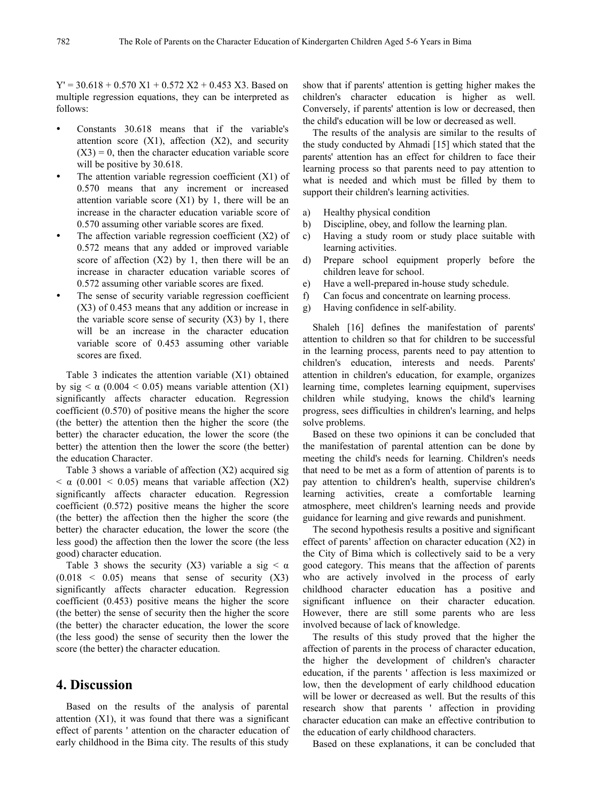$Y' = 30.618 + 0.570 X1 + 0.572 X2 + 0.453 X3$ . Based on multiple regression equations, they can be interpreted as follows:

- Constants 30.618 means that if the variable's attention score  $(X1)$ , affection  $(X2)$ , and security  $(X3) = 0$ , then the character education variable score will be positive by 30.618.
- The attention variable regression coefficient (X1) of 0.570 means that any increment or increased attention variable score  $(X1)$  by 1, there will be an increase in the character education variable score of a) 0.570 assuming other variable scores are fixed.
- The affection variable regression coefficient  $(X2)$  of c) 0.572 means that any added or improved variable score of affection  $(X2)$  by 1, then there will be an d) increase in character education variable scores of 0.572 assuming other variable scores are fixed.
- The sense of security variable regression coefficient f) (X3) of 0.453 means that any addition or increase in g) Having confidence in self-ability. the variable score sense of security  $(X3)$  by 1, there will be an increase in the character education variable score of 0.453 assuming other variable scores are fixed.

Table 3 indicates the attention variable (X1) obtained by sig  $\lt \alpha$  (0.004  $\lt$  0.05) means variable attention (X1) significantly affects character education. Regression coefficient (0.570) of positive means the higher the score (the better) the attention then the higher the score (the better) the character education, the lower the score (the better) the attention then the lower the score (the better) the education Character.

Table 3 shows a variable of affection (X2) acquired sig  $< \alpha$  (0.001  $<$  0.05) means that variable affection (X2) significantly affects character education. Regression coefficient (0.572) positive means the higher the score (the better) the affection then the higher the score (the better) the character education, the lower the score (the less good) the affection then the lower the score (the less good) character education.

Table 3 shows the security (X3) variable a sig  $\lt \alpha$  $(0.018 \leq 0.05)$  means that sense of security  $(X3)$ significantly affects character education. Regression coefficient (0.453) positive means the higher the score (the better) the sense of security then the higher the score (the better) the character education, the lower the score (the less good) the sense of security then the lower the score (the better) the character education.

#### **4. Discussion**

Based on the results of the analysis of parental attention (X1), it was found that there was a significant effect of parents ' attention on the character education of early childhood in the Bima city. The results of this study

show that if parents' attention is getting higher makes the children's character education is higher as well. Conversely, if parents' attention is low or decreased, then the child's education will be low or decreased as well.

The results of the analysis are similar to the results of the study conducted by Ahmadi [15] which stated that the parents' attention has an effect for children to face their learning process so that parents need to pay attention to what is needed and which must be filled by them to support their children's learning activities.

- a) Healthy physical condition
- b) Discipline, obey, and follow the learning plan.
- Having a study room or study place suitable with learning activities.
- Prepare school equipment properly before the children leave for school.
- Have a well-prepared in-house study schedule.
- Can focus and concentrate on learning process.
- 

Shaleh [16] defines the manifestation of parents' attention to children so that for children to be successful in the learning process, parents need to pay attention to children's education, interests and needs. Parents' attention in children's education, for example, organizes learning time, completes learning equipment, supervises children while studying, knows the child's learning progress, sees difficulties in children's learning, and helps solve problems.

Based on these two opinions it can be concluded that the manifestation of parental attention can be done by meeting the child's needs for learning. Children's needs that need to be met as a form of attention of parents is to pay attention to children's health, supervise children's learning activities, create a comfortable learning atmosphere, meet children's learning needs and provide guidance for learning and give rewards and punishment.

The second hypothesis results a positive and significant effect of parents' affection on character education (X2) in the City of Bima which is collectively said to be a very good category. This means that the affection of parents who are actively involved in the process of early childhood character education has a positive and significant influence on their character education. However, there are still some parents who are less involved because of lack of knowledge.

The results of this study proved that the higher the affection of parents in the process of character education, the higher the development of children's character education, if the parents ' affection is less maximized or low, then the development of early childhood education will be lower or decreased as well. But the results of this research show that parents ' affection in providing character education can make an effective contribution to the education of early childhood characters.

Based on these explanations, it can be concluded that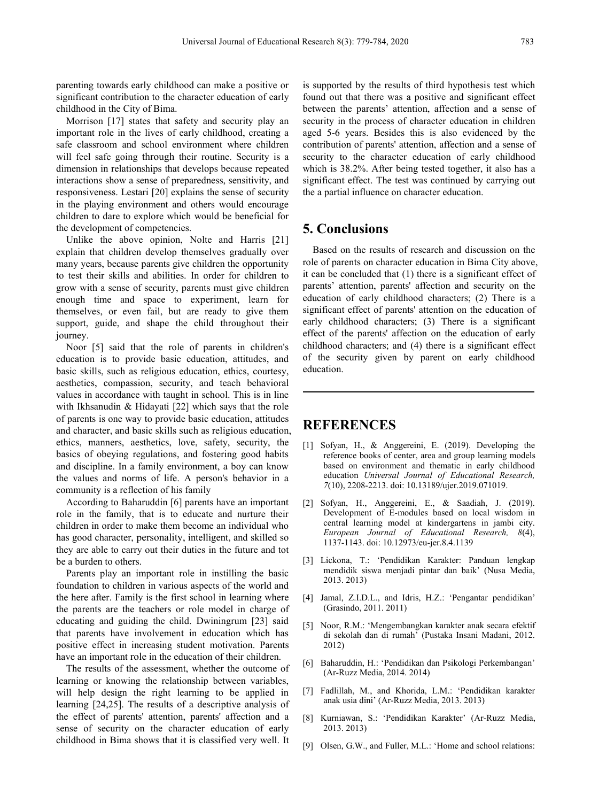parenting towards early childhood can make a positive or significant contribution to the character education of early childhood in the City of Bima.

Morrison [17] states that safety and security play an important role in the lives of early childhood, creating a safe classroom and school environment where children will feel safe going through their routine. Security is a dimension in relationships that develops because repeated interactions show a sense of preparedness, sensitivity, and responsiveness. Lestari [20] explains the sense of security in the playing environment and others would encourage children to dare to explore which would be beneficial for the development of competencies.

Unlike the above opinion, Nolte and Harris [21] explain that children develop themselves gradually over many years, because parents give children the opportunity to test their skills and abilities. In order for children to grow with a sense of security, parents must give children enough time and space to experiment, learn for themselves, or even fail, but are ready to give them support, guide, and shape the child throughout their journey.

Noor [5] said that the role of parents in children's education is to provide basic education, attitudes, and basic skills, such as religious education, ethics, courtesy, aesthetics, compassion, security, and teach behavioral values in accordance with taught in school. This is in line with Ikhsanudin & Hidayati [22] which says that the role of parents is one way to provide basic education, attitudes and character, and basic skills such as religious education, ethics, manners, aesthetics, love, safety, security, the basics of obeying regulations, and fostering good habits and discipline. In a family environment, a boy can know the values and norms of life. A person's behavior in a community is a reflection of his family

According to Baharuddin [6] parents have an important role in the family, that is to educate and nurture their children in order to make them become an individual who has good character, personality, intelligent, and skilled so they are able to carry out their duties in the future and tot be a burden to others.

Parents play an important role in instilling the basic foundation to children in various aspects of the world and the here after. Family is the first school in learning where the parents are the teachers or role model in charge of educating and guiding the child. Dwiningrum [23] said that parents have involvement in education which has positive effect in increasing student motivation. Parents have an important role in the education of their children.  $[6]$ 

The results of the assessment, whether the outcome of learning or knowing the relationship between variables, will help design the right learning to be applied in learning [24,25]. The results of a descriptive analysis of the effect of parents' attention, parents' affection and a sense of security on the character education of early childhood in Bima shows that it is classified very well. It

is supported by the results of third hypothesis test which found out that there was a positive and significant effect between the parents' attention, affection and a sense of security in the process of character education in children aged 5-6 years. Besides this is also evidenced by the contribution of parents' attention, affection and a sense of security to the character education of early childhood which is 38.2%. After being tested together, it also has a significant effect. The test was continued by carrying out the a partial influence on character education.

## **5. Conclusions**

Based on the results of research and discussion on the role of parents on character education in Bima City above, it can be concluded that (1) there is a significant effect of parents' attention, parents' affection and security on the education of early childhood characters; (2) There is a significant effect of parents' attention on the education of early childhood characters; (3) There is a significant effect of the parents' affection on the education of early childhood characters; and  $(4)$  there is a significant effect of the security given by parent on early childhood education.

## **REFERENCES**

- [1] Sofyan, H., & Anggereini, E. (2019). Developing the reference books of center, area and group learning models based on environment and thematic in early childhood education *Universal Journal of Educational Research, 7*(10), 2208-2213. doi: 10.13189/ujer.2019.071019.
- [2] Sofyan, H., Anggereini, E., & Saadiah, J. (2019). Development of E-modules based on local wisdom in central learning model at kindergartens in jambi city. *European Journal of Educational Research, 8*(4), 1137-1143. doi: 10.12973/eu-jer.8.4.1139
- [3] Lickona, T.: 'Pendidikan Karakter: Panduan lengkap mendidik siswa menjadi pintar dan baik' (Nusa Media, 2013. 2013)
- [4] Jamal, Z.I.D.L., and Idris, H.Z.: 'Pengantar pendidikan' (Grasindo, 2011. 2011)
- [5] Noor, R.M.: 'Mengembangkan karakter anak secara efektif di sekolah dan di rumah' (Pustaka Insani Madani, 2012. 2012)
- [6] Baharuddin, H.: 'Pendidikan dan Psikologi Perkembangan' (Ar-Ruzz Media, 2014. 2014)
- [7] Fadlillah, M., and Khorida, L.M.: 'Pendidikan karakter anak usia dini'(Ar-Ruzz Media, 2013. 2013)
- [8] Kurniawan, S.: 'Pendidikan Karakter' (Ar-Ruzz Media, 2013. 2013)
- [9] Olsen, G.W., and Fuller, M.L.: 'Home and school relations: